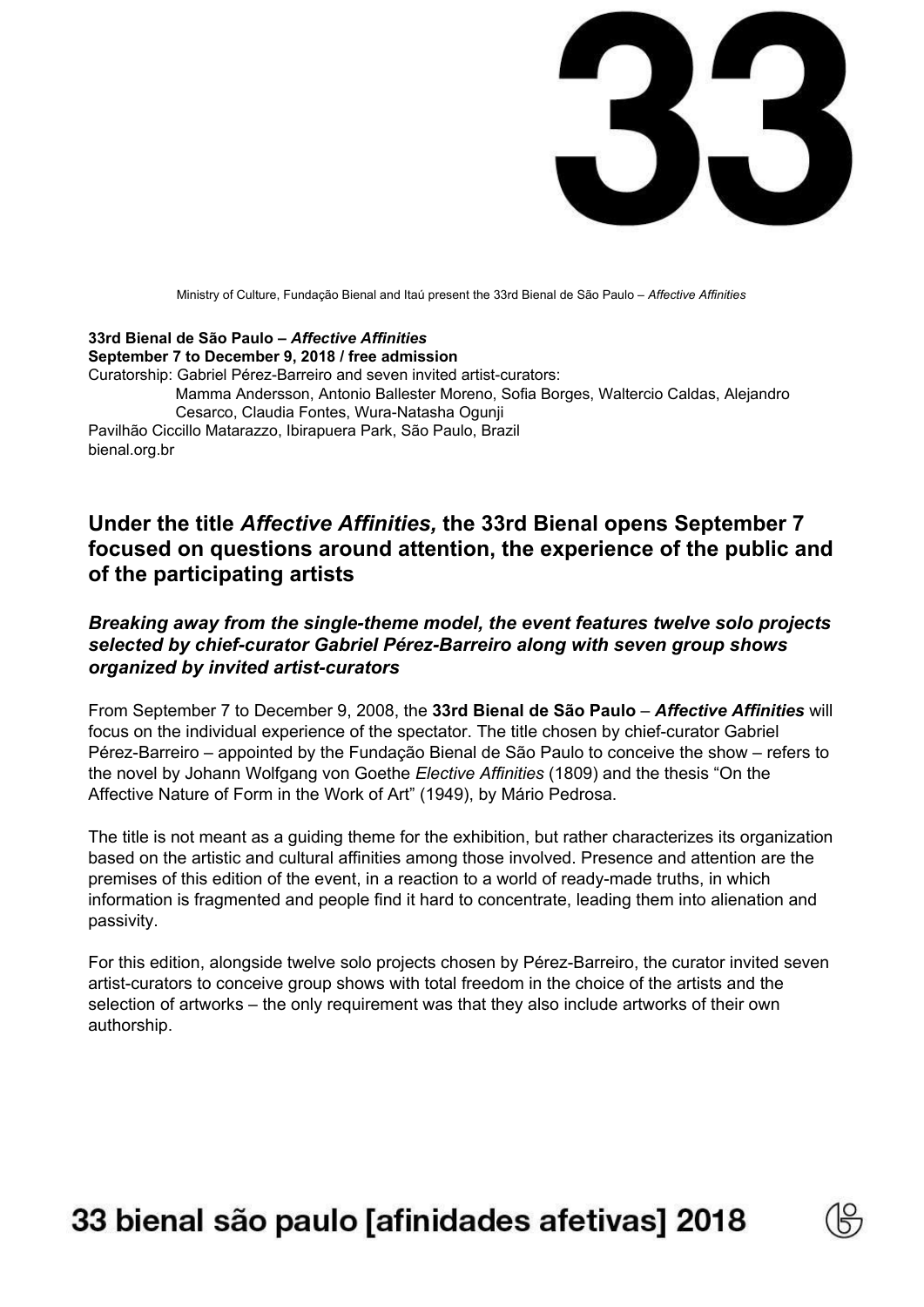

Ministry of Culture, Fundação Bienal and Itaú present the 33rd Bienal de São Paulo – *Affective Affinities*

#### **33rd Bienal de São Paulo –** *Affective Affinities* **September 7 to December 9, 2018 / free admission**

Curatorship: Gabriel Pérez-Barreiro and seven invited artist-curators: Mamma Andersson, Antonio Ballester Moreno, Sofia Borges, Waltercio Caldas, Alejandro Cesarco, Claudia Fontes, Wura-Natasha Ogunji Pavilhão Ciccillo Matarazzo, Ibirapuera Park, São Paulo, Brazil bienal.org.br

# **Under the title** *Affective Affinities,* **the 33rd Bienal opens September 7 focused on questions around attention, the experience of the public and of the participating artists**

# *Breaking away from the single-theme model, the event features twelve solo projects selected by chief-curator Gabriel Pérez-Barreiro along with seven group shows organized by invited artist-curators*

From September 7 to December 9, 2008, the **33rd Bienal de São Paulo** – *Affective Affinities* will focus on the individual experience of the spectator. The title chosen by chief-curator Gabriel Pérez-Barreiro – appointed by the Fundação Bienal de São Paulo to conceive the show – refers to the novel by Johann Wolfgang von Goethe *Elective Affinities* (1809) and the thesis "On the Affective Nature of Form in the Work of Art" (1949), by Mário Pedrosa.

The title is not meant as a guiding theme for the exhibition, but rather characterizes its organization based on the artistic and cultural affinities among those involved. Presence and attention are the premises of this edition of the event, in a reaction to a world of ready-made truths, in which information is fragmented and people find it hard to concentrate, leading them into alienation and passivity.

For this edition, alongside twelve solo projects chosen by Pérez-Barreiro, the curator invited seven artist-curators to conceive group shows with total freedom in the choice of the artists and the selection of artworks – the only requirement was that they also include artworks of their own authorship.

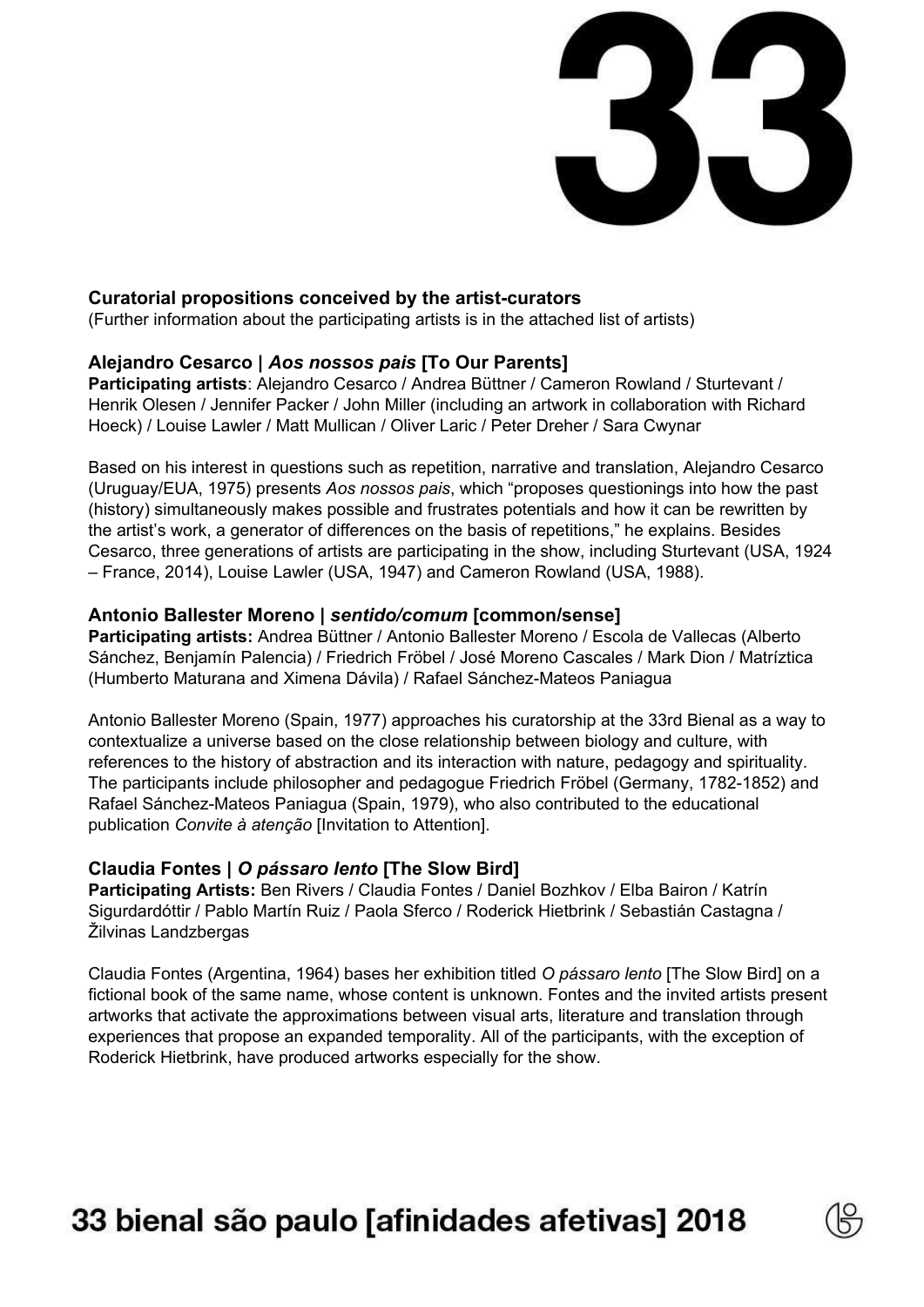

#### **Curatorial propositions conceived by the artist-curators**

(Further information about the participating artists is in the attached list of artists)

## **Alejandro Cesarco |** *Aos nossos pais* **[To Our Parents]**

**Participating artists**: Alejandro Cesarco / Andrea Büttner / Cameron Rowland / Sturtevant / Henrik Olesen / Jennifer Packer / John Miller (including an artwork in collaboration with Richard Hoeck) / Louise Lawler / Matt Mullican / Oliver Laric / Peter Dreher / Sara Cwynar

Based on his interest in questions such as repetition, narrative and translation, Alejandro Cesarco (Uruguay/EUA, 1975) presents *Aos nossos pais*, which "proposes questionings into how the past (history) simultaneously makes possible and frustrates potentials and how it can be rewritten by the artist's work, a generator of differences on the basis of repetitions," he explains. Besides Cesarco, three generations of artists are participating in the show, including Sturtevant (USA, 1924 – France, 2014), Louise Lawler (USA, 1947) and Cameron Rowland (USA, 1988).

## **Antonio Ballester Moreno |** *sentido/comum* **[common/sense]**

**Participating artists:** Andrea Büttner / Antonio Ballester Moreno / Escola de Vallecas (Alberto Sánchez, Benjamín Palencia) / Friedrich Fröbel / José Moreno Cascales / Mark Dion / Matríztica (Humberto Maturana and Ximena Dávila) / Rafael Sánchez-Mateos Paniagua

Antonio Ballester Moreno (Spain, 1977) approaches his curatorship at the 33rd Bienal as a way to contextualize a universe based on the close relationship between biology and culture, with references to the history of abstraction and its interaction with nature, pedagogy and spirituality. The participants include philosopher and pedagogue Friedrich Fröbel (Germany, 1782-1852) and Rafael Sánchez-Mateos Paniagua (Spain, 1979), who also contributed to the educational publication *Convite à atenção* [Invitation to Attention].

# **Claudia Fontes |** *O pássaro lento* **[The Slow Bird]**

**Participating Artists:** Ben Rivers / Claudia Fontes / Daniel Bozhkov / Elba Bairon / Katrín Sigurdardóttir / Pablo Martín Ruiz / Paola Sferco / Roderick Hietbrink / Sebastián Castagna / Žilvinas Landzbergas

Claudia Fontes (Argentina, 1964) bases her exhibition titled *O pássaro lento* [The Slow Bird] on a fictional book of the same name, whose content is unknown. Fontes and the invited artists present artworks that activate the approximations between visual arts, literature and translation through experiences that propose an expanded temporality. All of the participants, with the exception of Roderick Hietbrink, have produced artworks especially for the show.

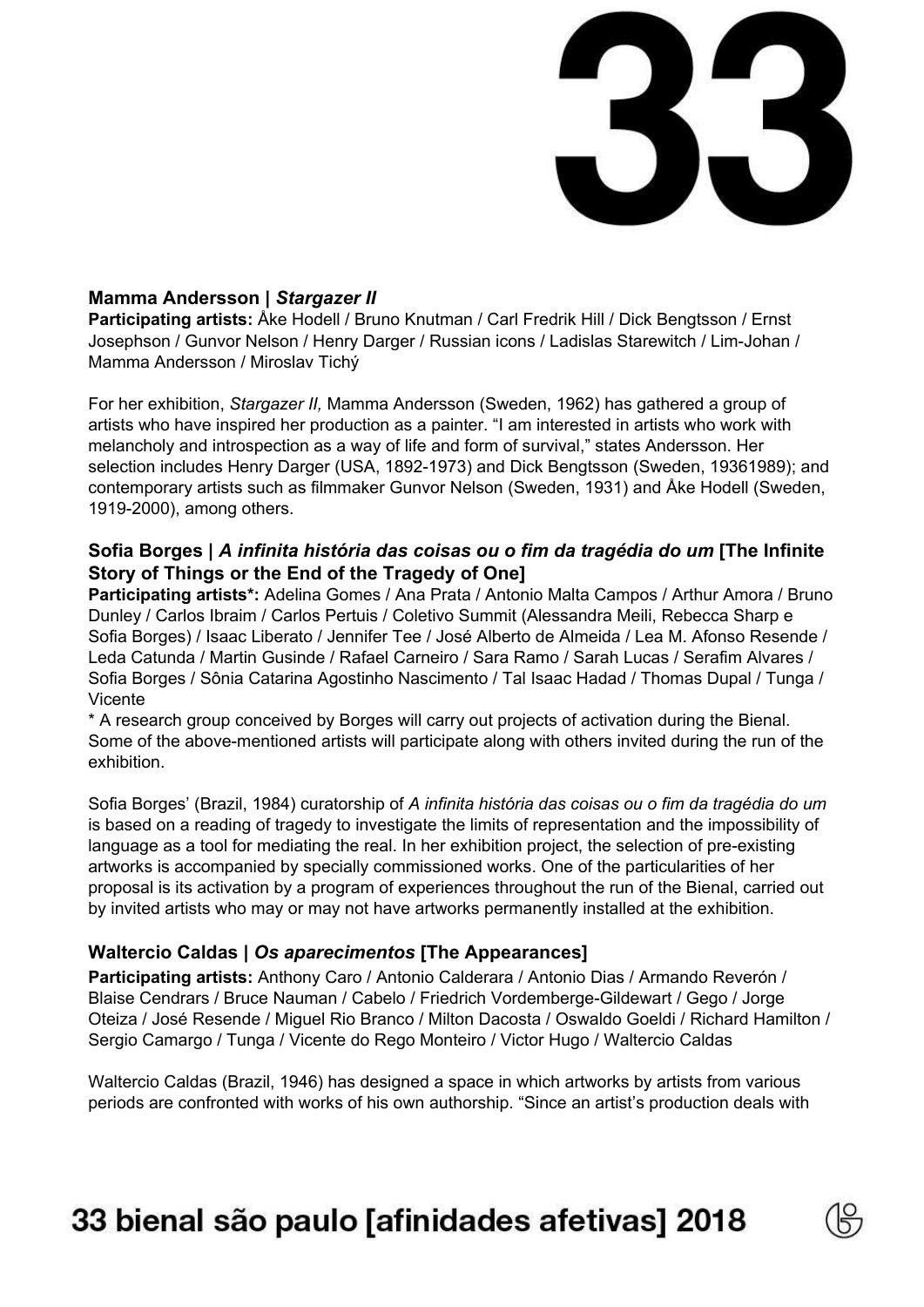

# **Mamma Andersson |** *Stargazer II*

**Participating artists:** Åke Hodell / Bruno Knutman / Carl Fredrik Hill / Dick Bengtsson / Ernst Josephson / Gunvor Nelson / Henry Darger / Russian icons / Ladislas Starewitch / Lim-Johan / Mamma Andersson / Miroslav Tichý

For her exhibition, *Stargazer II,* Mamma Andersson (Sweden, 1962) has gathered a group of artists who have inspired her production as a painter. "I am interested in artists who work with melancholy and introspection as a way of life and form of survival," states Andersson. Her selection includes Henry Darger (USA, 1892-1973) and Dick Bengtsson (Sweden, 19361989); and contemporary artists such as filmmaker Gunvor Nelson (Sweden, 1931) and Åke Hodell (Sweden, 1919-2000), among others.

# **Sofia Borges |** *A infinita história das coisas ou o fim da tragédia do um* **[The Infinite Story of Things or the End of the Tragedy of One]**

**Participating artists\*:** Adelina Gomes / Ana Prata / Antonio Malta Campos / Arthur Amora / Bruno Dunley / Carlos Ibraim / Carlos Pertuis / Coletivo Summit (Alessandra Meili, Rebecca Sharp e Sofia Borges) / Isaac Liberato / Jennifer Tee / José Alberto de Almeida / Lea M. Afonso Resende / Leda Catunda / Martin Gusinde / Rafael Carneiro / Sara Ramo / Sarah Lucas / Serafim Alvares / Sofia Borges / Sônia Catarina Agostinho Nascimento / Tal Isaac Hadad / Thomas Dupal / Tunga / Vicente

\* A research group conceived by Borges will carry out projects of activation during the Bienal. Some of the above-mentioned artists will participate along with others invited during the run of the exhibition.

Sofia Borges' (Brazil, 1984) curatorship of *A infinita história das coisas ou o fim da tragédia do um* is based on a reading of tragedy to investigate the limits of representation and the impossibility of language as a tool for mediating the real. In her exhibition project, the selection of pre-existing artworks is accompanied by specially commissioned works. One of the particularities of her proposal is its activation by a program of experiences throughout the run of the Bienal, carried out by invited artists who may or may not have artworks permanently installed at the exhibition.

## **Waltercio Caldas |** *Os aparecimentos* **[The Appearances]**

**Participating artists:** Anthony Caro / Antonio Calderara / Antonio Dias / Armando Reverón / Blaise Cendrars / Bruce Nauman / Cabelo / Friedrich Vordemberge-Gildewart / Gego / Jorge Oteiza / José Resende / Miguel Rio Branco / Milton Dacosta / Oswaldo Goeldi / Richard Hamilton / Sergio Camargo / Tunga / Vicente do Rego Monteiro / Victor Hugo / Waltercio Caldas

Waltercio Caldas (Brazil, 1946) has designed a space in which artworks by artists from various periods are confronted with works of his own authorship. "Since an artist's production deals with

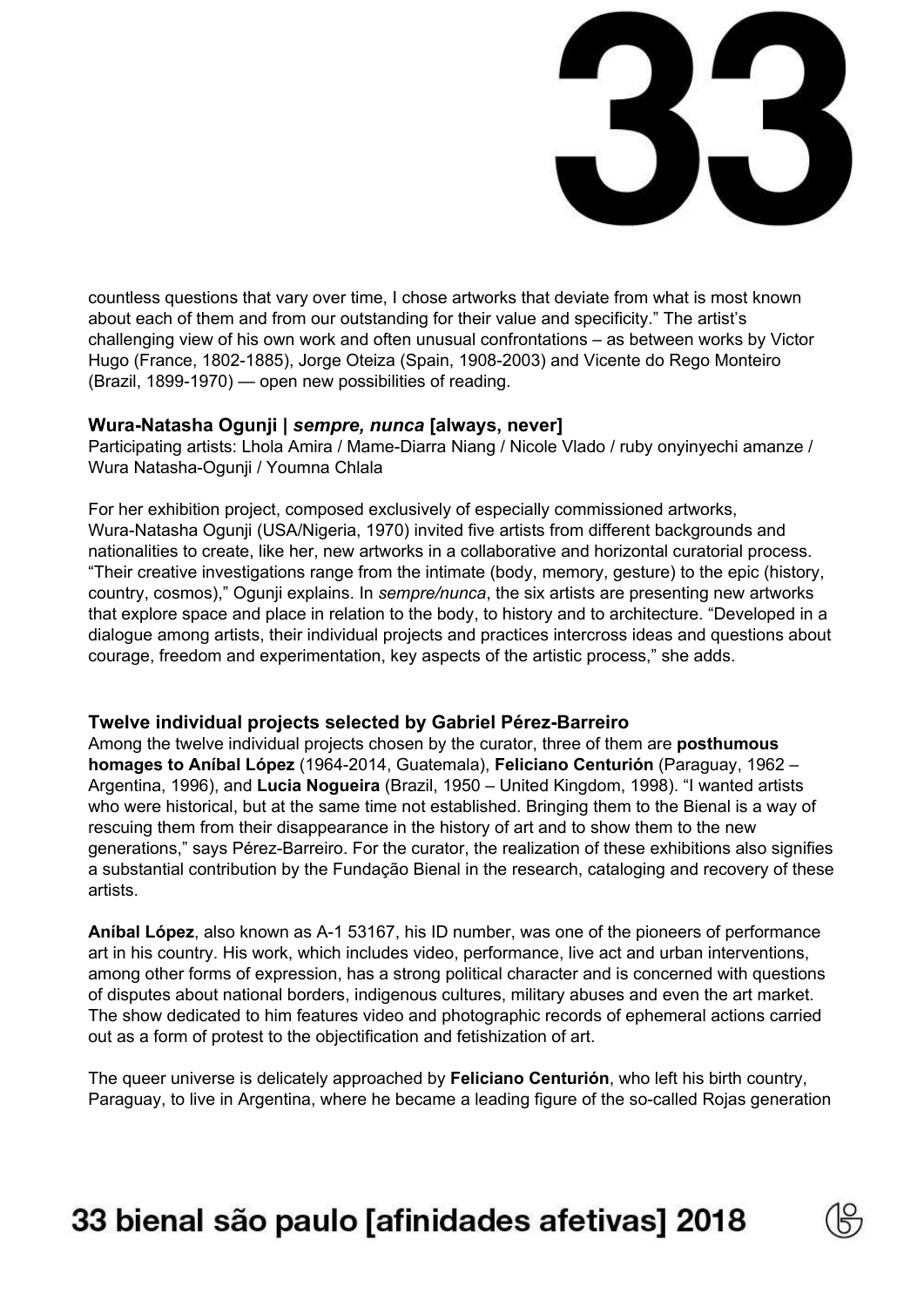

countless questions that vary over time, I chose artworks that deviate from what is most known about each of them and from our outstanding for their value and specificity." The artist's challenging view of his own work and often unusual confrontations – as between works by Victor Hugo (France, 1802-1885), Jorge Oteiza (Spain, 1908-2003) and Vicente do Rego Monteiro (Brazil, 1899-1970) — open new possibilities of reading.

## **Wura-Natasha Ogunji |** *sempre, nunca* **[always, never]**

Participating artists: Lhola Amira / Mame-Diarra Niang / Nicole Vlado / ruby onyinyechi amanze / Wura Natasha-Ogunji / Youmna Chlala

For her exhibition project, composed exclusively of especially commissioned artworks, Wura-Natasha Ogunji (USA/Nigeria, 1970) invited five artists from different backgrounds and nationalities to create, like her, new artworks in a collaborative and horizontal curatorial process. "Their creative investigations range from the intimate (body, memory, gesture) to the epic (history, country, cosmos)," Ogunji explains. In *sempre/nunca*, the six artists are presenting new artworks that explore space and place in relation to the body, to history and to architecture. "Developed in a dialogue among artists, their individual projects and practices intercross ideas and questions about courage, freedom and experimentation, key aspects of the artistic process," she adds.

## **Twelve individual projects selected by Gabriel Pérez-Barreiro**

Among the twelve individual projects chosen by the curator, three of them are **posthumous homages to Aníbal López** (1964-2014, Guatemala), **Feliciano Centurión** (Paraguay, 1962 – Argentina, 1996), and **Lucia Nogueira** (Brazil, 1950 – United Kingdom, 1998). "I wanted artists who were historical, but at the same time not established. Bringing them to the Bienal is a way of rescuing them from their disappearance in the history of art and to show them to the new generations," says Pérez-Barreiro. For the curator, the realization of these exhibitions also signifies a substantial contribution by the Fundação Bienal in the research, cataloging and recovery of these artists.

**Aníbal López**, also known as A-1 53167, his ID number, was one of the pioneers of performance art in his country. His work, which includes video, performance, live act and urban interventions, among other forms of expression, has a strong political character and is concerned with questions of disputes about national borders, indigenous cultures, military abuses and even the art market. The show dedicated to him features video and photographic records of ephemeral actions carried out as a form of protest to the objectification and fetishization of art.

The queer universe is delicately approached by **Feliciano Centurión**, who left his birth country, Paraguay, to live in Argentina, where he became a leading figure of the so-called Rojas generation

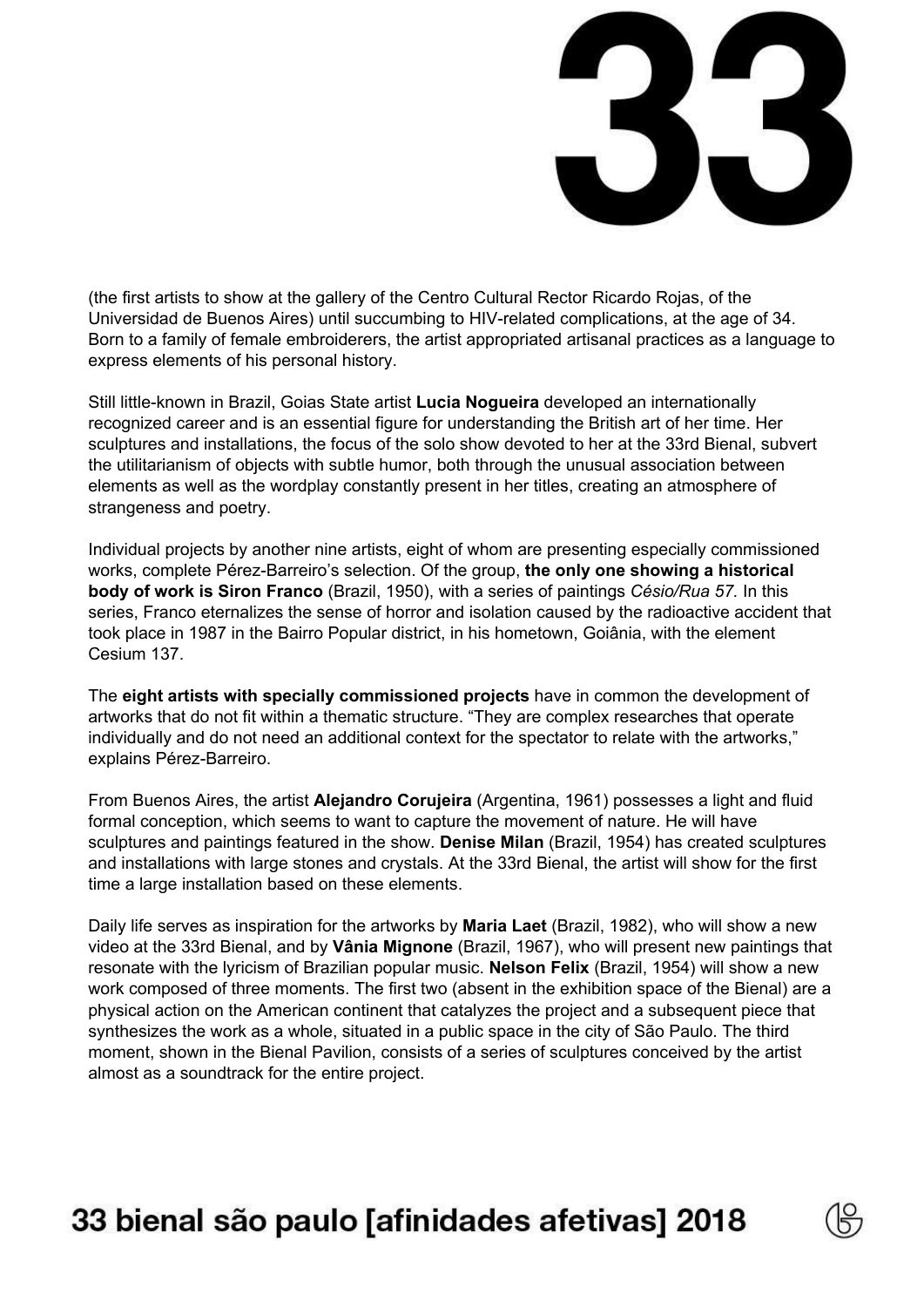

(the first artists to show at the gallery of the Centro Cultural Rector Ricardo Rojas, of the Universidad de Buenos Aires) until succumbing to HIV-related complications, at the age of 34. Born to a family of female embroiderers, the artist appropriated artisanal practices as a language to express elements of his personal history.

Still little-known in Brazil, Goias State artist **Lucia Nogueira** developed an internationally recognized career and is an essential figure for understanding the British art of her time. Her sculptures and installations, the focus of the solo show devoted to her at the 33rd Bienal, subvert the utilitarianism of objects with subtle humor, both through the unusual association between elements as well as the wordplay constantly present in her titles, creating an atmosphere of strangeness and poetry.

Individual projects by another nine artists, eight of whom are presenting especially commissioned works, complete Pérez-Barreiro's selection. Of the group, **the only one showing a historical body of work is Siron Franco** (Brazil, 1950), with a series of paintings *Césio/Rua 57.* In this series, Franco eternalizes the sense of horror and isolation caused by the radioactive accident that took place in 1987 in the Bairro Popular district, in his hometown, Goiânia, with the element Cesium 137.

The **eight artists with specially commissioned projects** have in common the development of artworks that do not fit within a thematic structure. "They are complex researches that operate individually and do not need an additional context for the spectator to relate with the artworks," explains Pérez-Barreiro.

From Buenos Aires, the artist **Alejandro Corujeira** (Argentina, 1961) possesses a light and fluid formal conception, which seems to want to capture the movement of nature. He will have sculptures and paintings featured in the show. **Denise Milan** (Brazil, 1954) has created sculptures and installations with large stones and crystals. At the 33rd Bienal, the artist will show for the first time a large installation based on these elements.

Daily life serves as inspiration for the artworks by **Maria Laet** (Brazil, 1982), who will show a new video at the 33rd Bienal, and by **Vânia Mignone** (Brazil, 1967), who will present new paintings that resonate with the lyricism of Brazilian popular music. **Nelson Felix** (Brazil, 1954) will show a new work composed of three moments. The first two (absent in the exhibition space of the Bienal) are a physical action on the American continent that catalyzes the project and a subsequent piece that synthesizes the work as a whole, situated in a public space in the city of São Paulo. The third moment, shown in the Bienal Pavilion, consists of a series of sculptures conceived by the artist almost as a soundtrack for the entire project.

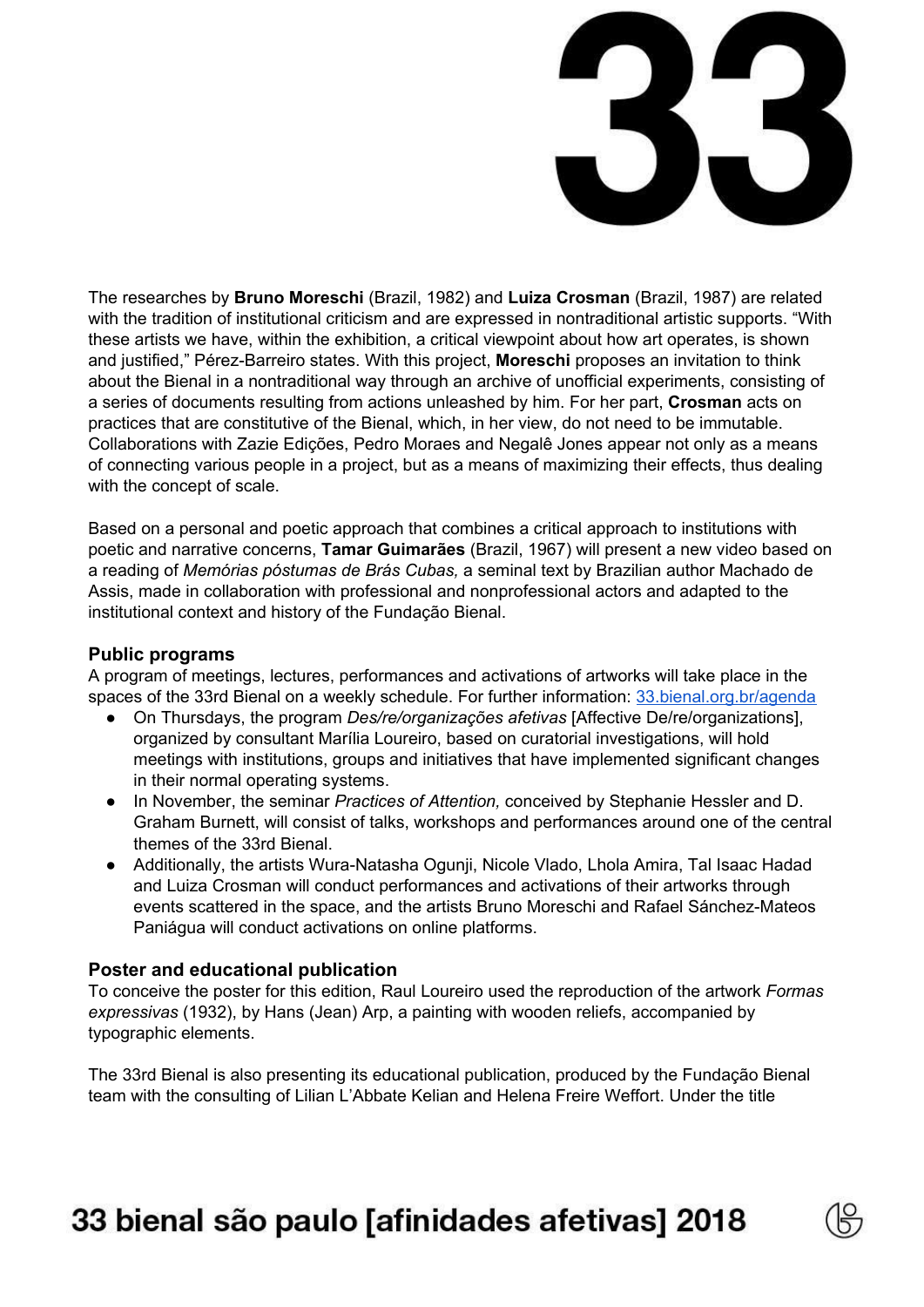

The researches by **Bruno Moreschi** (Brazil, 1982) and **Luiza Crosman** (Brazil, 1987) are related with the tradition of institutional criticism and are expressed in nontraditional artistic supports. "With these artists we have, within the exhibition, a critical viewpoint about how art operates, is shown and justified," Pérez-Barreiro states. With this project, **Moreschi** proposes an invitation to think about the Bienal in a nontraditional way through an archive of unofficial experiments, consisting of a series of documents resulting from actions unleashed by him. For her part, **Crosman** acts on practices that are constitutive of the Bienal, which, in her view, do not need to be immutable. Collaborations with Zazie Edições, Pedro Moraes and Negalê Jones appear not only as a means of connecting various people in a project, but as a means of maximizing their effects, thus dealing with the concept of scale.

Based on a personal and poetic approach that combines a critical approach to institutions with poetic and narrative concerns, **Tamar Guimarães** (Brazil, 1967) will present a new video based on a reading of *Memórias póstumas de Brás Cubas,* a seminal text by Brazilian author Machado de Assis, made in collaboration with professional and nonprofessional actors and adapted to the institutional context and history of the Fundação Bienal.

#### **Public programs**

A program of meetings, lectures, performances and activations of artworks will take place in the spaces of the 33rd Bienal on a weekly schedule. For further information: [33.bienal.org.br/agenda](http://33.bienal.org.br/agenda)

- On Thursdays, the program *Des/re/organizações afetivas* [Affective De/re/organizations], organized by consultant Marília Loureiro, based on curatorial investigations, will hold meetings with institutions, groups and initiatives that have implemented significant changes in their normal operating systems.
- In November, the seminar *Practices of Attention,* conceived by Stephanie Hessler and D. Graham Burnett, will consist of talks, workshops and performances around one of the central themes of the 33rd Bienal.
- Additionally, the artists Wura-Natasha Ogunji, Nicole Vlado, Lhola Amira, Tal Isaac Hadad and Luiza Crosman will conduct performances and activations of their artworks through events scattered in the space, and the artists Bruno Moreschi and Rafael Sánchez-Mateos Paniágua will conduct activations on online platforms.

#### **Poster and educational publication**

To conceive the poster for this edition, Raul Loureiro used the reproduction of the artwork *Formas expressivas* (1932), by Hans (Jean) Arp, a painting with wooden reliefs, accompanied by typographic elements.

The 33rd Bienal is also presenting its educational publication, produced by the Fundação Bienal team with the consulting of Lilian L'Abbate Kelian and Helena Freire Weffort. Under the title

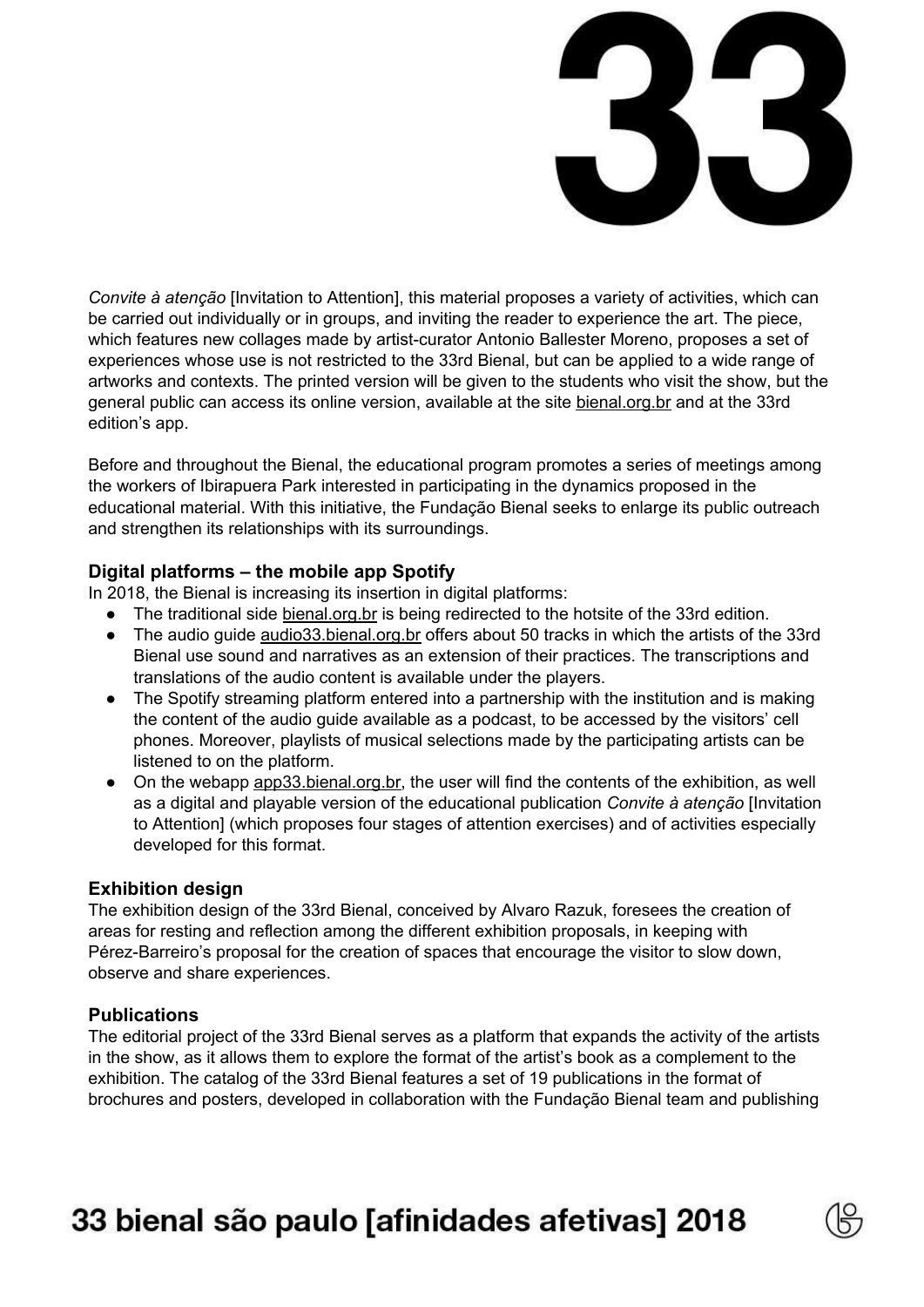

*Convite à atenção* [Invitation to Attention], this material proposes a variety of activities, which can be carried out individually or in groups, and inviting the reader to experience the art. The piece, which features new collages made by artist-curator Antonio Ballester Moreno, proposes a set of experiences whose use is not restricted to the 33rd Bienal, but can be applied to a wide range of artworks and contexts. The printed version will be given to the students who visit the show, but the general public can access its online version, available at the site [bienal.org.br](http://www.bienal.org.br/) and at the 33rd edition's app.

Before and throughout the Bienal, the educational program promotes a series of meetings among the workers of Ibirapuera Park interested in participating in the dynamics proposed in the educational material. With this initiative, the Fundação Bienal seeks to enlarge its public outreach and strengthen its relationships with its surroundings.

## **Digital platforms – the mobile app Spotify**

In 2018, the Bienal is increasing its insertion in digital platforms:

- The traditional side [bienal.org.br](http://www.bienal.org.br/) is being redirected to the hotsite of the 33rd edition.
- The audio guide [audio33.bienal.org.br](http://audio33.bienal.org.br/) offers about 50 tracks in which the artists of the 33rd Bienal use sound and narratives as an extension of their practices. The transcriptions and translations of the audio content is available under the players.
- The Spotify streaming platform entered into a partnership with the institution and is making the content of the audio guide available as a podcast, to be accessed by the visitors' cell phones. Moreover, playlists of musical selections made by the participating artists can be listened to on the platform.
- On the webapp [app33.bienal.org.br,](http://app33.bienal.org.br/) the user will find the contents of the exhibition, as well as a digital and playable version of the educational publication *Convite à atenção* [Invitation to Attention] (which proposes four stages of attention exercises) and of activities especially developed for this format.

## **Exhibition design**

The exhibition design of the 33rd Bienal, conceived by Alvaro Razuk, foresees the creation of areas for resting and reflection among the different exhibition proposals, in keeping with Pérez-Barreiro's proposal for the creation of spaces that encourage the visitor to slow down, observe and share experiences.

## **Publications**

The editorial project of the 33rd Bienal serves as a platform that expands the activity of the artists in the show, as it allows them to explore the format of the artist's book as a complement to the exhibition. The catalog of the 33rd Bienal features a set of 19 publications in the format of brochures and posters, developed in collaboration with the Fundação Bienal team and publishing

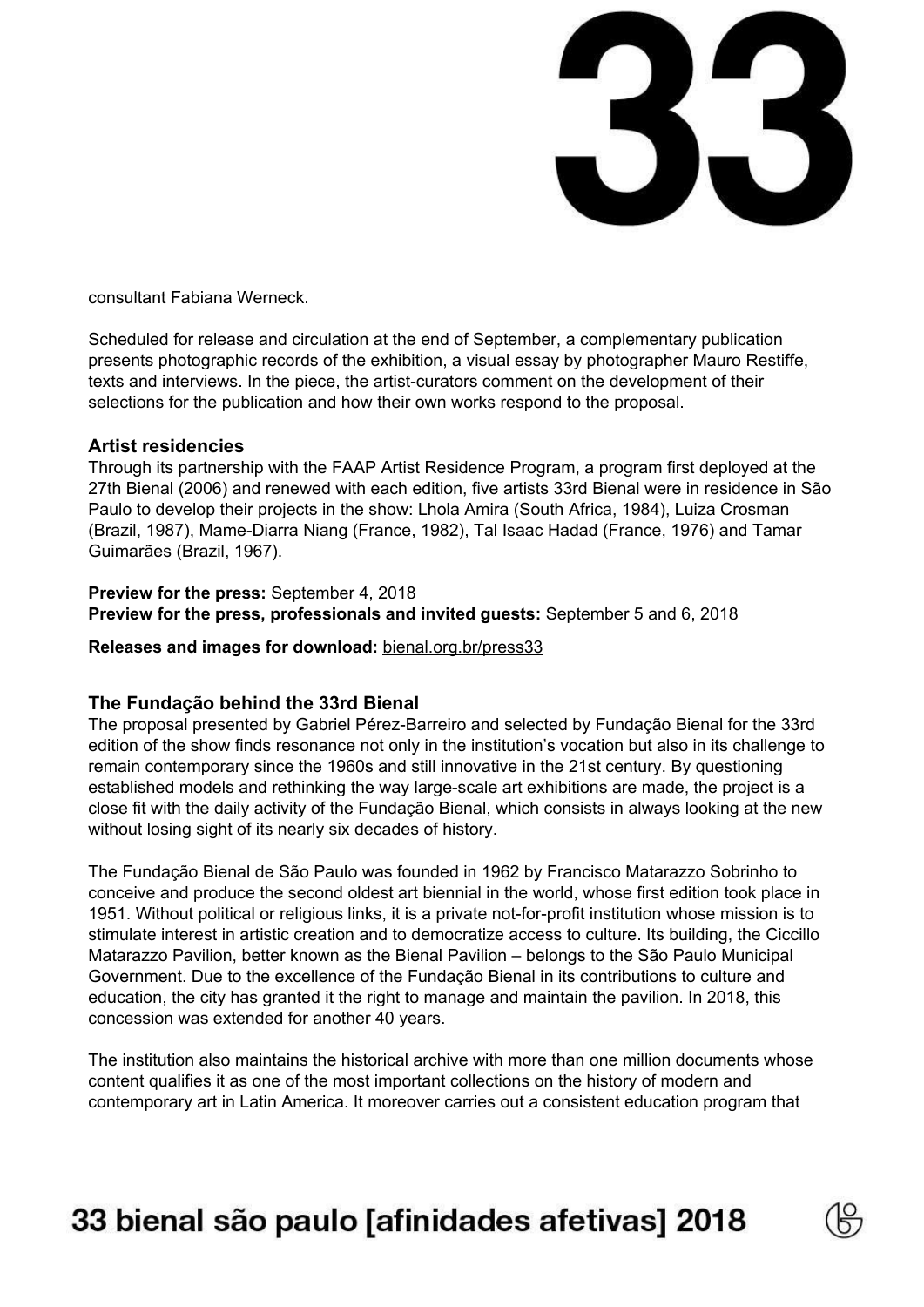

consultant Fabiana Werneck.

Scheduled for release and circulation at the end of September, a complementary publication presents photographic records of the exhibition, a visual essay by photographer Mauro Restiffe, texts and interviews. In the piece, the artist-curators comment on the development of their selections for the publication and how their own works respond to the proposal.

#### **Artist residencies**

Through its partnership with the FAAP Artist Residence Program, a program first deployed at the 27th Bienal (2006) and renewed with each edition, five artists 33rd Bienal were in residence in São Paulo to develop their projects in the show: Lhola Amira (South Africa, 1984), Luiza Crosman (Brazil, 1987), Mame-Diarra Niang (France, 1982), Tal Isaac Hadad (France, 1976) and Tamar Guimarães (Brazil, 1967).

#### **Preview for the press:** September 4, 2018 **Preview for the press, professionals and invited guests:** September 5 and 6, 2018

**Releases and images for download:** [bienal.org.br/press33](http://www.bienal.org.br/press33)

## **The Fundação behind the 33rd Bienal**

The proposal presented by Gabriel Pérez-Barreiro and selected by Fundação Bienal for the 33rd edition of the show finds resonance not only in the institution's vocation but also in its challenge to remain contemporary since the 1960s and still innovative in the 21st century. By questioning established models and rethinking the way large-scale art exhibitions are made, the project is a close fit with the daily activity of the Fundação Bienal, which consists in always looking at the new without losing sight of its nearly six decades of history.

The Fundação Bienal de São Paulo was founded in 1962 by Francisco Matarazzo Sobrinho to conceive and produce the second oldest art biennial in the world, whose first edition took place in 1951. Without political or religious links, it is a private not-for-profit institution whose mission is to stimulate interest in artistic creation and to democratize access to culture. Its building, the Ciccillo Matarazzo Pavilion, better known as the Bienal Pavilion – belongs to the São Paulo Municipal Government. Due to the excellence of the Fundação Bienal in its contributions to culture and education, the city has granted it the right to manage and maintain the pavilion. In 2018, this concession was extended for another 40 years.

The institution also maintains the historical archive with more than one million documents whose content qualifies it as one of the most important collections on the history of modern and contemporary art in Latin America. It moreover carries out a consistent education program that